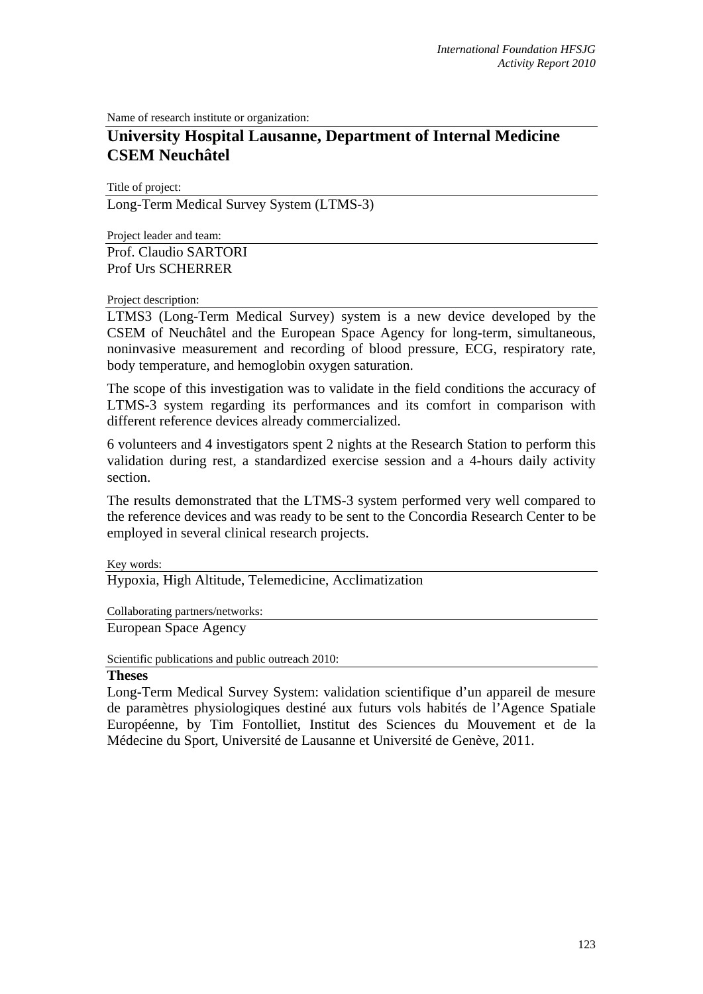Name of research institute or organization:

## **University Hospital Lausanne, Department of Internal Medicine CSEM Neuchâtel**

Title of project: Long-Term Medical Survey System (LTMS-3)

Project leader and team: Prof. Claudio SARTORI Prof Urs SCHERRER

Project description:

LTMS3 (Long-Term Medical Survey) system is a new device developed by the CSEM of Neuchâtel and the European Space Agency for long-term, simultaneous, noninvasive measurement and recording of blood pressure, ECG, respiratory rate, body temperature, and hemoglobin oxygen saturation.

The scope of this investigation was to validate in the field conditions the accuracy of LTMS-3 system regarding its performances and its comfort in comparison with different reference devices already commercialized.

6 volunteers and 4 investigators spent 2 nights at the Research Station to perform this validation during rest, a standardized exercise session and a 4-hours daily activity section.

The results demonstrated that the LTMS-3 system performed very well compared to the reference devices and was ready to be sent to the Concordia Research Center to be employed in several clinical research projects.

Key words:

Hypoxia, High Altitude, Telemedicine, Acclimatization

Collaborating partners/networks:

European Space Agency

Scientific publications and public outreach 2010:

## **Theses**

Long-Term Medical Survey System: validation scientifique d'un appareil de mesure de paramètres physiologiques destiné aux futurs vols habités de l'Agence Spatiale Européenne, by Tim Fontolliet, Institut des Sciences du Mouvement et de la Médecine du Sport, Université de Lausanne et Université de Genève, 2011.